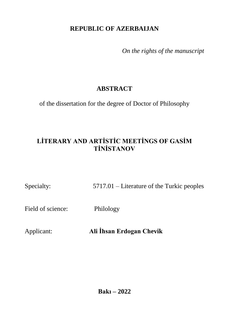## **REPUBLIC OF AZERBAIJAN**

*On the rights of the manuscript*

# **ABSTRACT**

of the dissertation for the degree of Doctor of Philosophy

# **LİTERARY AND ARTİSTİC MEETİNGS OF GASİM TİNİSTANOV**

Specialty: 5717.01 – Literature of the Turkic peoples

Field of science: Philology

Applicant: **Ali İhsan Erdogan Chevik**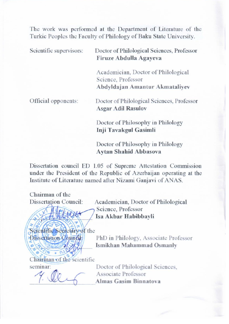The work was performed at the Department of Literature of the Turkic Peoples the Faculty of Philology of Baku State University.

Scientific supervisors: Doctor of Philological Sciences, Professor **Firuze Abdulla Agayeva** 

> Academician, Doctor of Philological Science, Professor **Abdyldajan Amantur Akmataliyev**

Official opponents: Doctor of Philological Sciences, Professor **Asgar Adil Rasulov** 

> Doctor of Philosophy in Philology **Inji Tavakgul Gasimli**

Doctor of Philosophy in Philology<br>Aytan Shahid Abbasova **Aytan Shahid Abbasova**

Dissertation council ED 1.05 of Supreme Attestation Commission under the President of the Republic of Azerbaijan operating at the Institute of Literature named after Nizami Ganiavi of ANAS. Institute of Literature named after Nizami Ganjavi of ANAS.

Chairman of the Dissertation Council:

 $\| \geq \sqrt{\frac{2}{\pi}} \sqrt{\frac{2}{\pi}}$ 

Academician, Doctor of Philological Science, Professor Isa Akbar Habibbayli

Scientific Secretary of the **Fissertation Council** 

PhD in Philology, Associate Professor Ismikhan Mahammad Osmanly

 $\sqrt{9.40 \cdot 0.60}$ 

seminar<sup>.</sup>

Doctor of Philological Sciences, seminar: Doctor of Philological Sciences, Almas Gasim Binna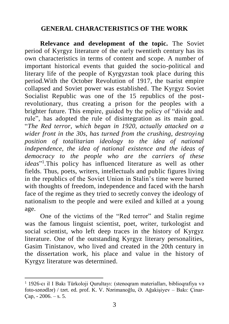#### **GENERAL CHARACTERISTICS OF THE WORK**

**Relevance and development of the topic.** The Soviet period of Kyrgyz literature of the early twentieth century has its own characteristics in terms of content and scope. A number of important historical events that guided the socio-political and literary life of the people of Kyrgyzstan took place during this period.With the October Revolution of 1917, the tsarist empire collapsed and Soviet power was established. The Kyrgyz Soviet Socialist Republic was one of the 15 republics of the postrevolutionary, thus creating a prison for the peoples with a brighter future. This empire, guided by the policy of "divide and rule", has adopted the rule of disintegration as its main goal. "*The Red terror, which began in 1920, actually attacked on a wider front in the 30s, has turned from the crushing, destroying position of totalitarian ideology to the idea of national independence, the idea of national existence and the ideas of democracy to the people who are the carriers of these ideas*" 1 .This policy has influenced literature as well as other fields. Thus, poets, writers, intellectuals and public figures living in the republics of the Soviet Union in Stalin's time were burned with thoughts of freedom, independence and faced with the harsh face of the regime as they tried to secretly convey the ideology of nationalism to the people and were exiled and killed at a young age.

One of the victims of the "Red terror" and Stalin regime was the famous linguist scientist, poet, writer, turkologist and social scientist, who left deep traces in the history of Kyrgyz literature. One of the outstanding Kyrgyz literary personalities, Gasim Tinistanov, who lived and created in the 20th century in the dissertation work, his place and value in the history of Kyrgyz literature was determined.

<sup>1</sup> 1926-cı il I Bakı Türkoloji Qurultayı: (stenoqram materialları, biblioqrafiya və foto-sənədlər) / tərt. ed. prof. K. V. Nərimanoğlu, Ə. Ağakişiyev – Bakı: Çinar-Cap.  $-2006. - s. 5.$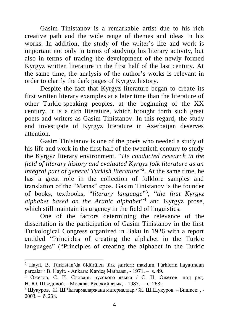Gasim Tinistanov is a remarkable artist due to his rich creative path and the wide range of themes and ideas in his works. In addition, the study of the writer's life and work is important not only in terms of studying his literary activity, but also in terms of tracing the development of the newly formed Kyrgyz written literature in the first half of the last century. At the same time, the analysis of the author's works is relevant in order to clarify the dark pages of Kyrgyz history.

Despite the fact that Kyrgyz literature began to create its first written literary examples at a later time than the literature of other Turkic-speaking peoples, at the beginning of the XX century, it is a rich literature, which brought forth such great poets and writers as Gasim Tinistanov. In this regard, the study and investigate of Kyrgyz literature in Azerbaijan deserves attention.

Gasim Tinistanov is one of the poets who needed a study of his life and work in the first half of the twentieth century to study the Kyrgyz literary environment. "*He conducted research in the field of literary history and evaluated Kyrgyz folk literature as an integral part of general Turkish literature*" 2 . At the same time, he has a great role in the collection of folklore samples and translation of the "Manas" epos. Gasim Tinistanov is the founder of books, textbooks, "*literary language*" 3 , "*the first Kyrgyz alphabet based on the Arabic alphabet*" 4 and Kyrgyz prose, which still maintain its urgency in the field of linguistics.

One of the factors determining the relevance of the dissertation is the participation of Gasim Tinistanov in the first Turkological Congress organized in Baku in 1926 with a report entitled "Principles of creating the alphabet in the Turkic languages" ("Principles of creating the alphabet in the Turkic

<sup>2</sup> Hayit, B. Türkistan'da öldürülen türk şairleri: mazlum Türklerin hayatından parçalar / B. Hayit. - Ankara: Kardeş Matbaası, - 1971. – s. 49.

 $3$  Ожегов, С. И. Словарь русского языка / С. И. Ожегов, под ред. Н. Ю. Шведовой. - Москвa: Русский язык, - 1987. – c. 263.

<sup>4</sup> Шукуров, Ж. Ш.Чыгaрмaлaржaнa мaтeриaлдaр / Ж. Ш.Шукуров. – Бишкек: , -  $2003 - 6.238$ .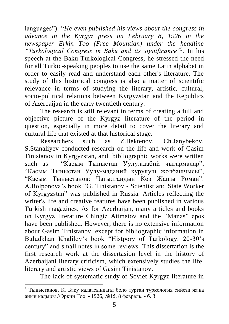languages"). "*He even published his views about the congress in advance in the Kyrgyz press on February 8, 1926 in the newspaper Erkin Too (Free Mountian) under the headline "Turkological Congress in Baku and its significance*" 5 . In his speech at the Baku Turkological Congress, he stressed the need for all Turkic-speaking peoples to use the same Latin alphabet in order to easily read and understand each other's literature. The study of this historical congress is also a matter of scientific relevance in terms of studying the literary, artistic, cultural, socio-political relations between Kyrgyzstan and the Republics of Azerbaijan in the early twentieth century.

The research is still relevant in terms of creating a full and objective picture of the Kyrgyz literature of the period in question, especially in more detail to cover the literary and cultural life that existed at that historical stage.

Researchers such as Z.Bektenov, Ch.Janybekov, S.Stanaliyev conducted research on the life and work of Gasim Tinistanov in Kyrgyzstan, and bibliographic works were written such as - "Касым Тыныстан Уулу:адабий чыгармалар", "Кaсым Тыныстaн Уулу-мaдaний курулуш жoлбaшчысы", "Кaсым Тыныстaнов: Чагылгандын Көз Жашы Роман". A.Bolponova's book "G. Tinistanov - Scientist and State Worker of Kyrgyzstan" was published in Russia. Articles reflecting the writer's life and creative features have been published in various Turkish magazines. As for Azerbaijan, many articles and books on Kyrgyz literature Chingiz Aitmatov and the "Manas" epos have been published. However, there is no extensive information about Gasim Tinistanov, except for bibliographic information in Buludkhan Khalilov's book "Histpory of Turkology: 20-30's century" and small notes in some reviews. This dissertation is the first research work at the dissertasion level in the history of Azerbaijani literary criticism, which extensively studies the life, literary and artistic views of Gasim Tinistanov.

The lack of systematic study of Soviet Kyrgyz literature in

<sup>5</sup> Тыныстaнов, К. Баку калаасындагы боло турган түркология сийези жана анын кадыры //Эркин Тоо. - 1926, №15, 8 февраль. - б. 3.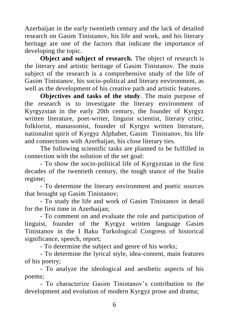Azerbaijan in the early twentieth century and the lack of detailed research on Gasim Tinistanov, his life and work, and his literary heritage are one of the factors that indicate the importance of developing the topic.

**Object and subject of research.** The object of research is the literary and artistic heritage of Gasim Tinistanov. The main subject of the research is a comprehensive study of the life of Gasim Tinistanov, his socio-political and literary environment, as well as the development of his creative path and artistic features.

**Objectives and tasks of the study**. The main purpose of the research is to investigate the literary environment of Kyrgyzstan in the early 20th century, the founder of Kyrgyz written literature, poet-writer, linguist scientist, literary critic, folklorist, manassonist, founder of Kyrgyz written literature, nationalist spirit of Kyrgyz Alphabet, Gasim Tinistanov, his life and connections with Azerbaijan, his close literary ties.

The following scientific tasks are planned to be fulfilled in connection with the solution of the set goal:

- To show the socio-political life of Kyrgyzstan in the first decades of the twentieth century, the tough stance of the Stalin regime;

- To determine the literary environment and poetic sources that brought up Gasim Tinistanov;

- To study the life and work of Gasim Tinistanov in detail for the first time in Azerbaijan;

- To comment on and evaluate the role and participation of linguist, founder of the Kyrgyz written language Gasim Tinistanov in the I Baku Turkological Congress of historical significance, speech, report;

- To determine the subject and genre of his works;

- To determine the lyrical style, idea-content, main features of his poetry;

- To analyze the ideological and aesthetic aspects of his poems;

- To characterize Gasim Tinistanov's contribution to the development and evolution of modern Kyrgyz prose and drama;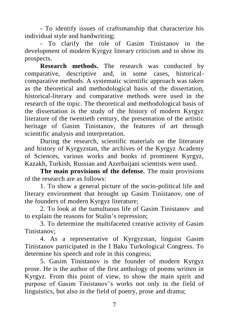- To identify issues of craftsmanship that characterize his individual style and handwriting;

- To clarify the role of Gasim Tinistanov in the development of modern Kyrgyz literary criticism and to show its prospects.

**Research methods.** The research was conducted by comparative, descriptive and, in some cases, historicalcomparative methods. A systematic scientific approach was taken as the theoretical and methodological basis of the dissertation, historical-literary and comparative methods were used in the research of the topic. The theoretical and methodological basis of the dissertation is the study of the history of modern Kyrgyz literature of the twentieth century, the presentation of the artistic heritage of Gasim Tinistanov, the features of art through scientific analysis and interpretation.

During the research, scientific materials on the literature and history of Kyrgyzstan, the archives of the Kyrgyz Academy of Sciences, various works and books of prominent Kyrgyz, Kazakh, Turkish, Russian and Azerbaijani scientists were used.

**The main provisions of the defense.** The main provisions of the research are as follows:

1. To show a general picture of the socio-political life and literary environment that brought up Gasim Tinistanov, one of the founders of modern Kyrgyz literature;

2. To look at the tumultuous life of Gasim Tinistanov and to explain the reasons for Stalin's repression;

3. To determine the multifaceted creative activity of Gasim Tinistanov;

4. As a representative of Kyrgyzstan, linguist Gasim Tinistanov participated in the I Baku Turkological Congress. To determine his speech and role in this congress;

5. Gasim Tinistanov is the founder of modern Kyrgyz prose. He is the author of the first anthology of poems written in Kyrgyz. From this point of view, to show the main spirit and purpose of Gasim Tinistanov's works not only in the field of linguistics, but also in the field of poetry, prose and drama;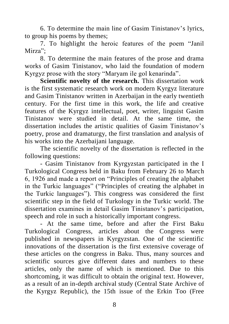6. To determine the main line of Gasim Tinistanov's lyrics, to group his poems by themes;

7. To highlight the heroic features of the poem "Janil Mirza":

8. To determine the main features of the prose and drama works of Gasim Tinistanov, who laid the foundation of modern Kyrgyz prose with the story "Maryam ile gol kenarinda".

**Scientific novelty of the research.** This dissertation work is the first systematic research work on modern Kyrgyz literature and Gasim Tinistanov written in Azerbaijan in the early twentieth century. For the first time in this work, the life and creative features of the Kyrgyz intellectual, poet, writer, linguist Gasim Tinistanov were studied in detail. At the same time, the dissertation includes the artistic qualities of Gasim Tinistanov's poetry, prose and dramaturgy, the first translation and analysis of his works into the Azerbaijani language.

The scientific novelty of the dissertation is reflected in the following questions:

- Gasim Tinistanov from Kyrgyzstan participated in the I Turkological Congress held in Baku from February 26 to March 6, 1926 and made a report on "Principles of creating the alphabet in the Turkic languages" ("Principles of creating the alphabet in the Turkic languages"). This congress was considered the first scientific step in the field of Turkology in the Turkic world. The dissertation examines in detail Gasim Tinistanov's participation, speech and role in such a historically important congress.

- At the same time, before and after the First Baku Turkological Congress, articles about the Congress were published in newspapers in Kyrgyzstan. One of the scientific innovations of the dissertation is the first extensive coverage of these articles on the congress in Baku. Thus, many sources and scientific sources give different dates and numbers to these articles, only the name of which is mentioned. Due to this shortcoming, it was difficult to obtain the original text. However, as a result of an in-depth archival study (Central State Archive of the Kyrgyz Republic), the 15th issue of the Erkin Too (Free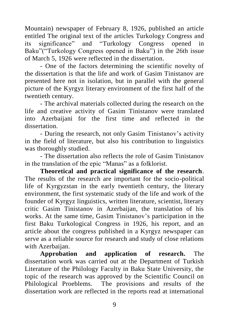Mountain) newspaper of February 8, 1926, published an article entitled The original text of the articles Turkology Congress and its significance" and "Turkology Congress opened in Baku"("Turkology Congress opened in Baku") in the 26th issue of March 5, 1926 were reflected in the dissertation.

- One of the factors determining the scientific novelty of the dissertation is that the life and work of Gasim Tinistanov are presented here not in isolation, but in parallel with the general picture of the Kyrgyz literary environment of the first half of the twentieth century.

- The archival materials collected during the research on the life and creative activity of Gasim Tinistanov were translated into Azerbaijani for the first time and reflected in the dissertation.

- During the research, not only Gasim Tinistanov's activity in the field of literature, but also his contribution to linguistics was thoroughly studied.

- The dissertation also reflects the role of Gasim Tinistanov in the translation of the epic "Manas" as a folklorist.

**Theoretical and practical significance of the research**. The results of the research are important for the socio-political life of Kyrgyzstan in the early twentieth century, the literary environment, the first systematic study of the life and work of the founder of Kyrgyz linguistics, written literature, scientist, literary critic Gasim Tinistanov in Azerbaijan, the translation of his works. At the same time, Gasim Tinistanov's participation in the first Baku Turkological Congress in 1926, his report, and an article about the congress published in a Kyrgyz newspaper can serve as a reliable source for research and study of close relations with Azerbaijan.

**Approbation and application of research.** The dissertation work was carried out at the Department of Turkish Literature of the Philology Faculty in Baku State University, the topic of the research was approved by the Scientific Council on Philological Proeblems. The provisions and results of the dissertation work are reflected in the reports read at international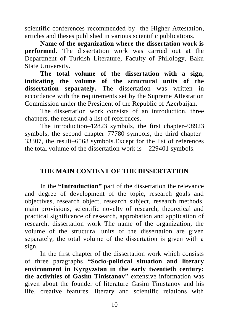scientific conferences recommended by the Higher Attestation, articles and theses published in various scientific publications.

**Name of the organization where the dissertation work is performed.** The dissertation work was carried out at the Department of Turkish Literature, Faculty of Philology, Baku State University.

**The total volume of the dissertation with a sign, indicating the volume of the structural units of the dissertation separately.** The dissertation was written in accordance with the requirements set by the Supreme Attestation Commission under the President of the Republic of Azerbaijan.

The dissertation work consists of an introduction, three chapters, the result and a list of references.

The introduction–12823 symbols, the first chapter–98923 symbols, the second chapter–77780 symbols, the third chapter– 33307, the result–6568 symbols.Except for the list of references the total volume of the dissertation work is – 229401 symbols.

## **THE MAIN CONTENT OF THE DISSERTATION**

In the **"Introduction"** part of the dissertation the relevance and degree of development of the topic, research goals and objectives, research object, research subject, research methods, main provisions, scientific novelty of research, theoretical and practical significance of research, approbation and application of research, dissertation work The name of the organization, the volume of the structural units of the dissertation are given separately, the total volume of the dissertation is given with a sign.

In the first chapter of the dissertation work which consists of three paragraphs **"Socio-political situation and literary environment in Kyrgyzstan in the early twentieth century: the activities of Gasim Tinistanov**" extensive information was given about the founder of literature Gasim Tinistanov and his life, creative features, literary and scientific relations with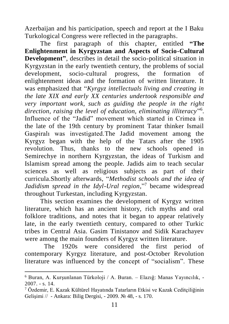Azerbaijan and his participation, speech and report at the I Baku Turkological Congress were reflected in the paragraphs.

The first paragraph of this chapter, entitled **"The Enlightenment in Kyrgyzstan and Aspects of Socio-Cultural Development"**, describes in detail the socio-political situation in Kyrgyzstan in the early twentieth century, the problems of social development, socio-cultural progress, the formation of enlightenment ideas and the formation of written literature. It was emphasized that "*Kyrgyz intellectuals living and creating in the late XIX and early XX centuries undertook responsible and very important work, such as guiding the people in the right direction, raising the level of education, eliminating illiteracy*" 6 . Influence of the "Jadid" movement which started in Crimea in the late of the 19th century by prominent Tatar thinker Ismail Gaspiralı was investigated.The Jadid movement among the Kyrgyz began with the help of the Tatars after the 1905 revolution. Thus, thanks to the new schools opened in Semirechye in northern Kyrgyzstan, the ideas of Turkism and Islamism spread among the people. Jadids aim to teach secular sciences as well as religious subjects as part of their curricula.Shortly afterwards, "*Methodist schools and the idea of Jadidism spread in the Idyl-Ural region,*" 7 became widespread throughout Turkestan, including Kyrgyzstan.

This section examines the development of Kyrgyz written literature, which has an ancient history, rich myths and oral folklore traditions, and notes that it began to appear relatively late, in the early twentieth century, compared to other Turkic tribes in Central Asia. Gasim Tinistanov and Sidik Karachayev were among the main founders of Kyrgyz written literature.

The 1920s were considered the first period of contemporary Kyrgyz literature, and post-October Revolution literature was influenced by the concept of "socialism". These

<sup>6</sup> Buran, A. Kurşunlanan Türkoloji / A. Buran. – Elazığ: Manas Yayıncılık, - 2007. - s. 14.

<sup>7</sup> Özdemir, E. Kazak Kültürel Hayatında Tatarların Etkisi ve Kazak Ceditçiliğinin Gelişimi // - Ankara: Bilig Dergisi, - 2009. № 48, - s. 170.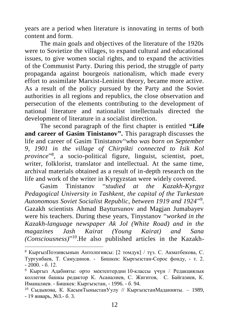years are a period when literature is innovating in terms of both content and form.

The main goals and objectives of the literature of the 1920s were to Sovietize the villages, to expand cultural and educational issues, to give women social rights, and to expand the activities of the Communist Party. During this period, the struggle of party propaganda against bourgeois nationalism, which made every effort to assimilate Marxist-Leninist theory, became more active. As a result of the policy pursued by the Party and the Soviet authorities in all regions and republics, the close observation and persecution of the elements contributing to the development of national literature and nationalist intellectuals directed the development of literature in a socialist direction.

The second paragraph of the first chapter is entitled **"Life and career of Gasim Tinistanov".** This paragraph discusses the life and career of Gasim Tinistanov"*who was born on September 9, 1901 in the village of Chirpikti connected to Isik Kol province*" 8 , a socio-political figure, linguist, scientist, poet, writer, folklorist, translator and intellectual. At the same time, archival materials obtained as a result of in-depth research on the life and work of the writer in Kyrgyzstan were widely covered.

Gasim Tinistanov "*studied at the Kazakh-Kyrgyz Pedagogical University in Tashkent, the capital of the Turkestan Autonomous Soviet Socialist Republic, between 1919 and 1924*" 9 *.* Gazakh scientists Ahmad Baytursunov and Magjan Jumabayev were his teachers. During these years, Tinystanov "*worked in the Kazakh-language newspaper Ak Jol (White Road) and in the magazines Jash Kairat (Young Kairat) and Sana (Consciousness)*" 10 .He also published articles in the Kazakh-

<sup>8</sup> КыргызПoэзиясынын Aнтoлoгиясы: [2 томдук] / түз. С. Акматбекова, С. Тургунбаев, Т. Самудинов. - Бишкек: Кыргызстан-Сорос фонду, - т. 2. - 2000. - б. 12.

<sup>9</sup> Кыргыз Адабияты: орто мектептердин 10-классы үчүн / Редaкциялык коллегия бaшкы редaктор К. Aсaнaлиeв, С. Жигитов, С. Байгазиев, К. Иманалиев. - Бишкек[: Кыргызстан,](http://yordam.manas.edu.kg/yordambt/yordam.php?sayfaBilimsel) - 1996. - б. 94.

<sup>10</sup> Сыдыкoвa, К. КaсымТыныстaнУулу // КыргызстaнМaданияты. – 1989, - 19 янвaрь, №3.- б. 3.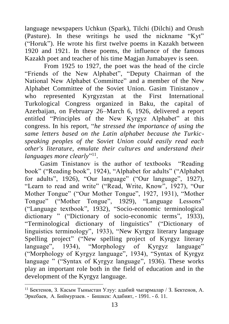language newspapers Uchkun (Spark), Tilchi (Dilchi) and Orush (Pasture). In these writings he used the nickname "Kyt" ("Horuk"). He wrote his first twelve poems in Kazakh between 1920 and 1921. In these poems, the influence of the famous Kazakh poet and teacher of his time Magjan Jumabayev is seen.

From 1925 to 1927, the poet was the head of the circle "Friends of the New Alphabet", "Deputy Chairman of the National New Alphabet Committee" and a member of the New Alphabet Committee of the Soviet Union. Gasim Tinistanov , who represented Kyrgyzstan at the First International Turkological Congress organized in Baku, the capital of Azerbaijan, on February 26–March 6, 1926, delivered a report entitled "Principles of the New Kyrgyz Alphabet" at this congress. In his report, "*he stressed the importance of using the same letters based on the Latin alphabet because the Turkicspeaking peoples of the Soviet Union could easily read each other's literature, emulate their cultures and understand their*  languages more clearly"<sup>11</sup>.

Gasim Tinistanov is the author of textbooks "Reading book" ("Reading book", 1924), "Alphabet for adults" ("Alphabet for adults", 1926), "Our language" ("Our language", 1927), "Learn to read and write" ("Read, Write, Know", 1927), "Our Mother Tongue" ("Our Mother Tongue", 1927, 1931), "Mother Tongue" ("Mother Tongue", 1929), "Language Lessons" ("Language textbook", 1932), "Socio-economic terminological dictionary " ("Dictionary of socio-economic terms", 1933), "Terminological dictionary of linguistics" ("Dictionary of linguistics terminology", 1933), "New Kyrgyz literary language Spelling project" ("New spelling project of Kyrgyz literary language", 1934), "Morphology of Kyrgyz language" ("Morphology of Kyrgyz language", 1934), "Syntax of Kyrgyz language " ("Syntax of Kyrgyz language", 1936). These works play an important role both in the field of education and in the development of the Kyrgyz language.

 $11$  Бектенов, З. Касым Тыныстан Улуу: адабий чыгармалар / З. Бектенов, А. Эркебаев, А. Биймурзаев. - Бишкек: Адабият, - 1991. - б. 11.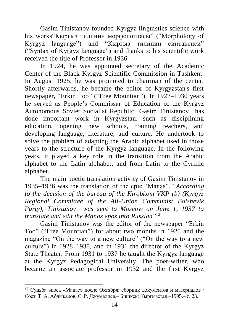Gasim Tinistanov founded Kyrgyz linguistics science with his works"Кыргыз тилинин морфологиясы" ("Morphology of Kyrgyz language") and "Кыргыз тилинин синтaксиси" ("Syntax of Kyrgyz language") and thanks to his scientific work received the title of Professor in 1936.

In 1924, he was appointed secretary of the Academic Center of the Black-Kyrgyz Scientific Commission in Tashkent. In August 1925, he was promoted to chairman of the center. Shortly afterwards, he became the editor of Kyrgyzstan's first newspaper, "Erkin Too" ("Free Mountian"). In 1927–1930 years he served as People's Commissar of Education of the Kyrgyz Autonomous Soviet Socialist Republic. Gasim Tinistanov has done important work in Kyrgyzstan, such as disciplining education, opening new schools, training teachers, and developing language, literature, and culture. He undertook to solve the problem of adapting the Arabic alphabet used in those years to the structure of the Kyrgyz language. In the following years, it played a key role in the transition from the Arabic alphabet to the Latin alphabet, and from Latin to the Cyrillic alphabet.

The main poetic translation activity of Gasim Tinistanov in 1935–1936 was the translation of the epic "Manas". "*According to the decision of the bureau of the Kirobkom VKP (b) (Kyrgyz Regional Committee of the All-Union Communist Bolshevik Party), Tinistanov was sent to Moscow on June 1, 1937 to translate and edit the Manas epos into Russian*" 12 .

Gasim Tinistanov was the editor of the newspaper "Erkin Too" ("Free Mountian") for about two months in 1925 and the magazine "On the way to a new culture" ("On the way to a new culture") in 1928–1930, and in 1931 the director of the Kyrgyz State Theater. From 1931 to 1937 he taught the Kyrgyz language at the Kyrgyz Pedagogical University. The poet-writer, who became an associate professor in 1932 and the first Kyrgyz

<sup>12</sup> Судьба эпоса «Манас» после Октября: сборник документов и материалов / Сост. Т. А. Абдыкаров, С. Р. Джумалиев.– Бишкек: Кыргызстан,–1995.– c. 23.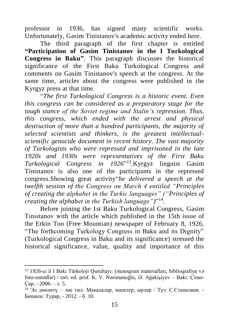professor in 1936, has signed many scientific works. Unfortunately, Gasim Tinistanov's academic activity ended here.

The third paragraph of the first chapter is entitled **"Participation of Gasim Tinistanov in the I Turkological Congress in Baku"**. This paragraph discusses the historical significance of the First Baku Turkological Congress and comments on Gasim Tinistanov's speech at the congress. At the same time, articles about the congress were published in the Kyrgyz press at that time.

"*The first Turkological Congress is a historic event. Even this congress can be considered as a preparatory stage for the tough stance of the Soviet regime and Stalin's repression. Thus, this congress, which ended with the arrest and physical destruction of more than a hundred participants, the majority of selected scientists and thinkers, is the greatest intellectualscientific genocide document in recent history. The vast majority of Turkologists who were repressed and imprisoned in the late 1920s and 1930s were representatives of the First Baku Turkological Congress in 1926*" 13 *.*Kyrgyz linguist Gasim Tinistanov is also one of the participants in the repressed congress.Showing great activity"*he delivered a speech at the twelfth session of the Congress on March 4 entitled "Principles of creating the alphabet in the Turkic languages" ("Principles of creating the alphabet in the Turkish language")*" 14 .

Before joining the 1st Baku Turkological Congress, Gasim Tınıstanov with the article which published in the 15th issue of the Erkin Too (Free Mountian) newspaper of February 8, 1926, "The forthcoming Turkology Congress in Baku and its Dignity" (Turkological Congress in Baku and its significance) stressed the historical significance, value, quality and importance of this

<sup>&</sup>lt;sup>13</sup> 1926-cı il I Bakı Türkoloji Qurultayı: (stenoqram materialları, biblioqrafiya və foto-sənədlər) / tərt. ed. prof. K. V. Nərimanoğlu, Ə. Ağakişiyev – Bakı: Çinar- $Cap, -2006. - s. 5.$ 

<sup>&</sup>lt;sup>14</sup> Эл дөөлөтү – эне тил: Макалалар, маектер, ырлар / Түз: С.Станалиев. -Бишкек: Турар, - 2012. - б. 10.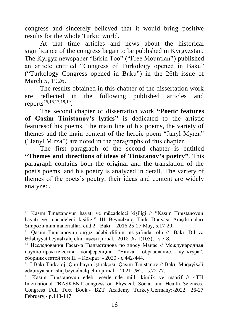congress and sincerely believed that it would bring positive results for the whole Turkic world.

At that time articles and news about the historical significance of the congress began to be published in Kyrgyzstan. The Kyrgyz newspaper "Erkin Too" ("Free Mountian") published an article entitled "Congress of Turkology opened in Baku" ("Turkology Congress opened in Baku") in the 26th issue of March 5, 1926.

The results obtained in this chapter of the dissertation work are reflected in the following published articles and reports<sup>15,16,17,18,19</sup>.

The second chapter of dissertation work **"Poetic features of Gasim Tinistanov's lyrics"** is dedicated to the artistic featuresof his poems. The main line of his poems, the variety of themes and the main content of the heroic poem "Janyl Myrza" ("Janyl Mirza") are noted in the paragraphs of this chapter.

The first paragraph of the second chapter is entitled **"Themes and directions of ideas of Tinistanov's poetry"**. This paragraph contains both the original and the translation of the poet's poems, and his poetry is analyzed in detail. The variety of themes of the poets's poetry, their ideas and content are widely analyzed.

<sup>15</sup> Kasım Tınıstanovun hayatı ve mücadeleci kişiliği // "Kasım Tınıstanovun hayatı ve mücadeleci kişiliği" III Beynəlxalq Türk Dünyası Araşdırmaları Simpoziumun materialları cild 2.- Bakı: - 2016.25-27 May,-s.17-20.

<sup>16</sup> Qasım Tınıstanovun qırğız ədəbi dilinin inkişafında rolu // -Bakı: Dil və Ədəbiyyat beynəlxalq elmi-nəzəri jurnal, -2018. № 1(105), - s.7-8.

<sup>17</sup> Исследования Гасыма Тыныстанова по эпосу Манас // Международная научно-практическая конференция "Наука, образование, культура", сборник статей том II. – Комрат: - 2020.- c.442-444.

<sup>18</sup> I Bakı Türkoloji Qurultayın iştirakçısı: Qasım Tınıstanov // Bakı: Müqayisəli ədəbiyyatşünaslıq beynəlxalq elmi jurnal, - 2021. №2, - s.72-77.

<sup>&</sup>lt;sup>19</sup> Kasım Tınıstanovun edebi eserlerinde milli kimlik ve maarif  $//$  4TH International "BAŞKENT"congress on Physical, Social and Health Sciences, Congress Full Text Book.- BZT Academy Turkey,Germany:-2022. 26-27 February,- p.143-147.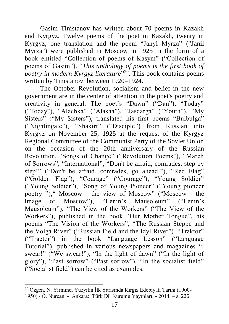Gasim Tinistanov has written about 70 poems in Kazakh and Kyrgyz. Twelve poems of the poet in Kazakh, twenty in Kyrgyz, one translation and the poem "Janyl Myrza" ("Janil Myrza") were published in Moscow in 1925 in the form of a book entitled "Collection of poems of Kasym" ("Collection of poems of Gasim"). "*This anthology of poems is the first book of poetry in modern Kyrgyz literature*" 20 . This book contains poems written by Tinistanov between 1920–1924.

The October Revolution, socialism and belief in the new government are in the center of attention in the poet's poetry and creativity in general. The poet's "Dawn" ("Dan"), "Today" ("Today"), "Alachka" ("Alasha"), "Jasdarga" ("Youth"), "My Sisters" ("My Sisters"), translated his first poems "Bulbulga" ("Nightingale"), "Shakirt" ("Disciple") from Russian into Kyrgyz on November 25, 1925 at the request of the Kyrgyz Regional Committee of the Communist Party of the Soviet Union on the occasion of the 20th anniversary of the Russian Revolution. "Songs of Change" ("Revolution Poems"), "March of Sorrows", "International", "Don't be afraid, comrades, step by step!" ("Don't be afraid, comrades, go ahead!"), "Red Flag" ("Golden Flag"), "Courage" ("Courage"), "Young Soldier" ("Young Soldier"), "Song of Young Pioneer" ("Young pioneer poetry ")," Moscow - the view of Moscow" ("Moscow - the image of Moscow"), "Lenin's Mausoleum" ("Lenin's Mausoleum"), "The View of the Workers" ("The View of the Workers"), published in the book "Our Mother Tongue", his poems "The Vision of the Workers", "The Russian Steppe and the Volga River" ("Russian Field and the Idyl River"), "Traktor" ("Tractor") in the book "Language Lesson" ("Language Tutorial"), published in various newspapers and magazines "I swear!" ("We swear!"), "In the light of dawn" ("In the light of glory"), "Past sorrow" ("Past sorrow"), "In the socialist field" ("Socialist field") can be cited as examples.

<sup>&</sup>lt;sup>20</sup> Özgen, N. Yirminci Yüzyılın İlk Yarısında Kırgız Edebiyatı Tarihi (1900-1950) / Ö. Nurcan. - Ankara: Türk Dil Kurumu Yayınları, - 2014. – s. 226.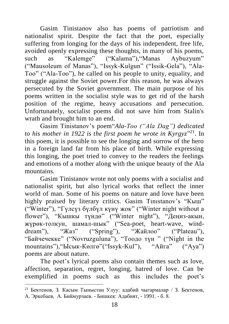Gasim Tinistanov also has poems of patriotism and nationalist spirit. Despite the fact that the poet, especially suffering from longing for the days of his independent, free life, avoided openly expressing these thoughts, in many of his poems, such as "Kalemge" ("Kalama"),"Manas Aybuzyum" ("Mausoleum of Manas"), "Issyk-Kulgun" ("Issik-Gela"), "Ala-Too" ("Ala-Too"), he called on his people to unity, equality, and struggle against the Soviet power.For this reason, he was always persecuted by the Soviet government. The main purpose of his poems written in the socialist style was to get rid of the harsh position of the regime, heavy accusations and persecution. Unfortunately, socialist poems did not save him from Stalin's wrath and brought him to an end.

Gasim Tinistanov's poem"*Ala-Too ("Ala Dag") dedicated*  to his mother in 1922 is the first poem he wrote in Kyrgyz<sup>"21</sup>. In this poem, it is possible to see the longing and sorrow of the hero in a foreign land far from his place of birth. While expressing this longing, the poet tried to convey to the readers the feelings and emotions of a mother along with the unique beauty of the Ala mountains.

Gasim Tinistanov wrote not only poems with a socialist and nationalist spirit, but also lyrical works that reflect the inner world of man. Some of his poems on nature and love have been highly praised by literary critics. Gasim Tınıstanov's "Кыш" ("Winter"), "Гүлсүз бүлбүл күнү жок" ("Winter night without a flower"), "Кышкы түндө" ("Winter night"), "Деңиз-aкын, жүрөк-толкун, шaмaл-шык" ("Sea-poet, heart-wave, winddream"), "Жаз" ("Spring"), "Жайлоо" ("Plateau"), "Бaйчечекке" ("Novruzguluna"), "Тоодо түн " ("Night in the mountains"),"Ысык-Көлгө"("Issyk-Kul"), "Aйгa" ("Aya") poems are about nature.

The poet's lyrical poems also contain themes such as love, affection, separation, regret, longing, hatred of love. Can be exemplified in poems such as this includes the poet's

<sup>&</sup>lt;sup>21</sup> Бектенов, 3. Касым Тыныстан Улуу: адабий чыгармалар / 3. Бектенов, А. Эркебаев, А. Биймурзаев. - Бишкек: Адабият, - 1991. - б. 8.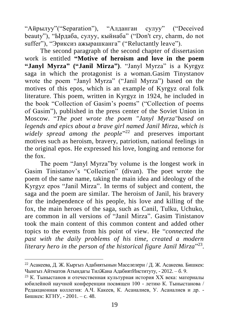"Aйрылуу"("Separation"), "Aлдaнгaн сулуу" ("Deceived beauty"), "Ырдaбa, сулуу, кыйнaбa" ("Don't cry, charm, do not suffer"), "Эриксиз ажырашканга" ("Reluctantly leave").

The second paragraph of the second chapter of dissertasion work is entitled **"Motive of heroism and love in the poem "Janyl Myrza" ("Janil Mirza")**. "Janyl Myrza" is a Kyrgyz saga in which the protagonist is a woman.Gasim Tinystanov wrote the poem "Janyl Myrza" ("Janil Myrza") based on the motives of this epos, which is an example of Kyrgyz oral folk literature. This poem, written in Kyrgyz in 1924, he included in the book "Collection of Gasim's poems" ("Collection of poems of Gasim"), published in the press center of the Soviet Union in Moscow. "*The poet wrote the poem "Janyl Myrza"based on legends and epics about a brave girl named Janil Mirza, which is widely spread among the people*" <sup>22</sup> and preserves important motives such as heroism, bravery, patriotism, national feelings in the original epos. He expressed his love, longing and remorse for the fox.

The poem "Janyl Myrza"by volume is the longest work in Gasim Tinistanov's "Collection" (divan). The poet wrote the poem of the same name, taking the main idea and ideology of the Kyrgyz epos "Janil Mirza". In terms of subject and content, the saga and the poem are similar. The heroism of Janil, his bravery for the independence of his people, his love and killing of the fox, the main heroes of the saga, such as Canil, Tulku, Uchuko, are common in all versions of "Janil Mirza". Gasim Tinistanov took the main content of this common content and added other topics to the events from his point of view. He "*connected the past with the daily problems of his time, created a modern literary hero in the person of the historical figure Janil Mirza*" 23 .

<sup>22</sup> [Асакеева,](https://www.google.az/search?hl=tr&tbo=p&tbm=bks&q=inauthor:%22%D0%94%D0%B8%D0%BD%D0%B0%D1%80%D0%B0+%D0%96%D0%BE%D0%BB%D0%B4%D0%BE%D1%88%D0%B5%D0%B2%D0%BD%D0%B0+%D0%90%D1%81%D0%B0%D0%BA%D0%B5%D0%B5%D0%B2%D0%B0%22) Д. Ж. Кыргыз Адабиятынын Мaсeлeлeри / Д. Ж. Асакеева. Бишкек: Чынгыз Aйтмaтoв Aтындaгы TилЖaнa АдабиятИнституту, - 2012. – б. 9.

<sup>&</sup>lt;sup>23</sup> К. Тыныстанов и отечественная культурная история XX века: материалы юбилейной нaучной конференции посвящен 100 - летию К. Тыныстaновa / Редaкционнaя коллегия: А.Ч. Какеев, К. Асаналиев, У. Асаналиев и др. - Бишкек: КГНУ, - 2001. – c. 48.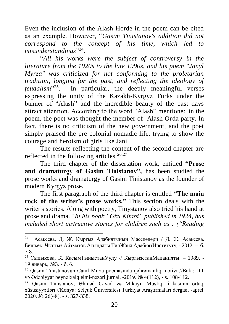Even the inclusion of the Alash Horde in the poem can be cited as an example. However, "*Gasim Tinistanov's addition did not correspond to the concept of his time, which led to misunderstandings*" 24 .

"*All his works were the subject of controversy in the literature from the 1920s to the late 1990s, and his poem "Janyl Myrza" was criticized for not conforming to the proletarian tradition, longing for the past, and reflecting the ideology of feudalism*" <sup>25</sup>. In particular, the deeply meaningful verses expressing the unity of the Kazakh-Kyrgyz Turks under the banner of "Alash" and the incredible beauty of the past days attract attention. According to the word "Alash" mentioned in the poem, the poet was thought the member of Alash Orda party. In fact, there is no criticism of the new government, and the poet simply praised the pre-colonial nomadic life, trying to show the courage and heroism of girls like Janil.

The results reflecting the content of the second chapter are reflected in the following articles  $26,27$ .

The third chapter of the dissertation work, entitled **"Prose and dramaturgy of Gasim Tinistanov",** has been studied the prose works and dramaturgy of Gasim Tinistanov as the founder of modern Kyrgyz prose.

The first paragraph of the third chapter is entitled **"The main rock of the writer's prose works."** This section deals with the writer's stories. Along with poetry, Tinystanov also tried his hand at prose and drama. "*In his book "Oku Kitabi" published in 1924, has included short instructive stories for children such as : ("Reading* 

<sup>24</sup> [Асакеева,](https://www.google.az/search?hl=tr&tbo=p&tbm=bks&q=inauthor:%22%D0%94%D0%B8%D0%BD%D0%B0%D1%80%D0%B0+%D0%96%D0%BE%D0%BB%D0%B4%D0%BE%D1%88%D0%B5%D0%B2%D0%BD%D0%B0+%D0%90%D1%81%D0%B0%D0%BA%D0%B5%D0%B5%D0%B2%D0%B0%22) Д. Ж. Кыргыз Адабиятынын Мaсeлeлeри / Д. Ж. Асакеева. Бишкек: Чынгыз Aйтмaтoв Aтындaгы TилЖaнa АдабиятИнституту, - 2012. – б. 7-8.

<sup>25</sup> Сыдыкoвa, К. КaсымТыныстaнУулу // КыргызстaнМaданияты. – 1989, - 19 янвaрь, №3. - б. 6.

<sup>26</sup> Qasım Tınıstanovun Canıl Mırza poemasında qəhrəmanlıq motivi //Bakı: Dil və Ədəbiyyat beynəlxalq elmi-nəzəri jurnal, -2019. № 4(112), - s. 108-112.

<sup>27</sup> Qasım Tınıstanov, Əhməd Cavad və Mikayıl Müşfiq lirikasının ortaq xüsusiyyətləri //Konya: Selçuk Üniversitesi Türkiyat Araştırmaları dergisi, -aprel 2020. № 26(48), - s. 327-338.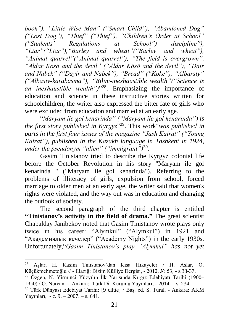*book"), "Little Wise Man" ("Smart Child"), "Abandoned Dog" ("Lost Dog"), "Thief" ("Thief"), "Children's Order at School" ("Students' Regulations at School") discipline"), "Liar"("Liar"),"Barley and wheat"("Barley and wheat"), "Animal quarrel"("Animal quarrel"), "The field is overgrown", "Aldar Kösö and the devil" ("Aldar Kösö and the devil"), "Dair and Nabek" ("Dayir and Nabek"), "Bread" ("Koke"), "Albarsty" ("Albasty-karabasma"), "Bilim-inexhaustible wealth"("Science is an inexhaustible wealth")*" 28 . Emphasizing the importance of education and science in these instructive stories written for schoolchildren, the writer also expressed the bitter fate of girls who were excluded from education and married at an early age.

"*Maryam ile gol kenarinda" ("Maryam ile gol kenarinda") is the first story published in Kyrgyz*" 29 . This work"*was published in parts in the first four issues of the magazine "Jash Kairat" ("Young Kairat"), published in the Kazakh language in Tashkent in 1924, under the pseudonym "alien" ("immigrant")*<sup>30</sup> *.*

Gasim Tinistanov tried to describe the Kyrgyz colonial life before the October Revolution in his story "Maryam ile gol kenarinda " ("Maryam ile gol kenarinda"). Referring to the problems of illiteracy of girls, expulsion from school, forced marriage to older men at an early age, the writer said that women's rights were violated, and the way out was in education and changing the outlook of society.

The second paragraph of the third chapter is entitled **"Tinistanov's activity in the field of drama."** The great scientist Chabalday Janibekov noted that Gasim Tinistanov wrote plays only twice in his career: "Alymkul" ("Alymkul") in 1921 and "Aкaдемиялык кечелер" ("Academy Nights") in the early 1930s. Unfortunately,"*Gasim Tinistanov's play "Alymkul" has not yet* 

<sup>28</sup> Aşlar, H. Kasım Tınıstanov'dan Kısa Hikayeler / H. Aşlar, Ö. Küçükmehmetoğlu // - Elazığ: Bizim Külliye Dergisi, - 2012. № 53, - s.33-37. <sup>29</sup> Özgen, N. Yirminci Yüzyılın İlk Yarısında Kırgız Edebiyatı Tarihi (1900– 1950) / Ö. Nurcan. - Ankara: Türk Dil Kurumu Yayınları, - 2014. – s. 234.

<sup>30</sup> Türk Dünyası Edebiyat Tarihi: [9 ciltte] / Baş. ed. S. Tural. - Ankara: AKM Yayınları, - c. 9. – 2007. – s. 641.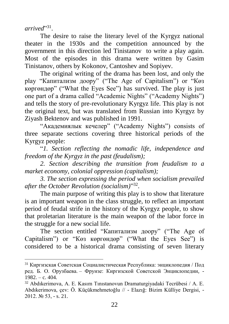*arrived*" 31 .

 $\overline{a}$ 

The desire to raise the literary level of the Kyrgyz national theater in the 1930s and the competition announced by the government in this direction led Tinistanov to write a play again. Most of the episodes in this drama were written by Gasim Tinistanov, others by Kokonov, Cantoshev and Sopiyev.

The original writing of the drama has been lost, and only the play "Кaпитaлизм доору" ("The Age of Capitalism") or "Көз көргөндөр" ("What the Eyes See") has survived. The play is just one part of a drama called "Academic Nights" ("Academy Nights") and tells the story of pre-revolutionary Kyrgyz life. This play is not the original text, but was translated from Russian into Kyrgyz by Ziyash Bektenov and was published in 1991.

"Академиялык кечелер" ("Academy Nights") consists of three separate sections covering three historical periods of the Kyrgyz people:

"*1. Section reflecting the nomadic life, independence and freedom of the Kyrgyz in the past (feudalism);*

*2. Section describing the transition from feudalism to a market economy, colonial oppression (capitalism);*

*3. The section expressing the period when socialism prevailed after the October Revolution (socialism)*" 32 .

The main purpose of writing this play is to show that literature is an important weapon in the class struggle, to reflect an important period of feudal strife in the history of the Kyrgyz people, to show that proletarian literature is the main weapon of the labor force in the struggle for a new social life.

The section entitled "Кaпитaлизм доору" ("The Age of Capitalism") or "Көз көргөндөр" ("What the Eyes See") is considered to be a historical drama consisting of seven literary

<sup>31</sup> Киргизская Советская Социалистическая Республика: энциклопедия / Под ред. Б. О. Орузбаева. – Фрунзе: Киргизской Советской Энциклопедии, -  $1982 - c. 404$ .

<sup>32</sup> Abdıkerimova, A. E. Kasım Tınıstanovun Dramaturgiyadaki Tecrübesi / A. E. Abdıkerimova, çev: Ö. Küçükmehmetoğlu // - Elazığ: Bizim Külliye Dergisi, - 2012. № 53, - s. 21.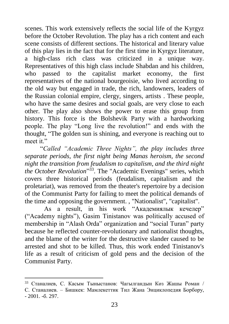scenes. This work extensively reflects the social life of the Kyrgyz before the October Revolution. The play has a rich content and each scene consists of different sections. The historical and literary value of this play lies in the fact that for the first time in Kyrgyz literature, a high-class rich class was criticized in a unique way. Representatives of this high class include Shabdan and his children, who passed to the capitalist market economy, the first representatives of the national bourgeoisie, who lived according to the old way but engaged in trade, the rich, landowners, leaders of the Russian colonial empire, clergy, singers, artists . These people, who have the same desires and social goals, are very close to each other. The play also shows the power to erase this group from history. This force is the Bolshevik Party with a hardworking people. The play "Long live the revolution!" and ends with the thought, "The golden sun is shining, and everyone is reaching out to meet it."

"*Called "Academic Three Nights", the play includes three separate periods, the first night being Manas heroism, the second night the transition from feudalism to capitalism, and the third night the October Revolution*" 33 . The "Academic Evenings" series, which covers three historical periods (feudalism, capitalism and the proletariat), was removed from the theater's repertoire by a decision of the Communist Party for failing to meet the political demands of the time and opposing the government. , "Nationalist", "capitalist".

As a result, in his work "Академиялык кечелер" ("Academy nights"), Gasim Tinistanov was politically accused of membership in "Alash Orda" organization and "social Turan" party because he reflected counter-revolutionary and nationalist thoughts, and the blame of the writer for the destructive slander caused to be arrested and shot to be killed. Thus, this work ended Tinistanov's life as a result of criticism of gold pens and the decision of the Communist Party.

<sup>33</sup> Стaнaлиев, С. Кaсым Тыныстaнов: Чагылгандын Көз Жашы Роман / С. Стaнaлиев. – Бишкек: Мамлекеттик Тил Жана Энциклопедия Борбору,  $-2001 - 6.297$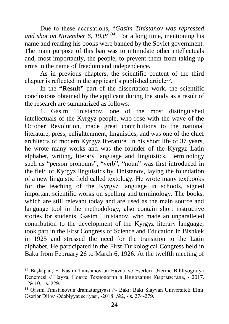Due to these accusations, "*Gasim Tinistanov was repressed and shot on November 6, 1938*" 34 . For a long time, mentioning his name and reading his books were banned by the Soviet government. The main purpose of this ban was to intimidate other intellectuals and, most importantly, the people, to prevent them from taking up arms in the name of freedom and independence.

As in previous chapters, the scientific content of the third chapter is reflected in the applicant's published article<sup>35</sup>.

In the **"Result"** part of the dissertation work, the scientific conclusions obtained by the applicant during the study as a result of the research are summarized as follows:

1. Gasim Tinistanov, one of the most distinguished intellectuals of the Kyrgyz people, who rose with the wave of the October Revolution, made great contributions to the national literature, press, enlightenment, linguistics, and was one of the chief architects of modern Kyrgyz literature. In his short life of 37 years, he wrote many works and was the founder of the Kyrgyz Latin alphabet, writing, literary language and linguistics. Terminology such as "person pronouns", "verb", "noun" was first introduced in the field of Kyrgyz linguistics by Tinistanov, laying the foundation of a new linguistic field called textology. He wrote many textbooks for the teaching of the Kyrgyz language in schools, signed important scientific works on spelling and terminology. The books, which are still relevant today and are used as the main source and language tool in the methodology, also contain short instructive stories for students. Gasim Tinistanov, who made an unparalleled contribution to the development of the Kyrgyz literary language, took part in the First Congress of Science and Education in Bishkek in 1925 and stressed the need for the transition to the Latin alphabet. He participated in the First Turkological Congress held in Baku from February 26 to March 6, 1926. At the twelfth meeting of

<sup>34</sup> Başkapan, F. Kasım Tınıstanov'un Hayatı ve Eserleri Üzerine Bibliyografya Denemesi // Наука, Новые Технологии и Инновации Кыргызстана, - 2017.  $-$  No 10,  $-$  s. 229.

<sup>35</sup> Qasım Tınıstanovun dramaturgiyası //- Bakı: Bakı Slayvan Universiteti Elmi Əsərlər Dil və Ədəbiyyat seriyası, -2018. №2, - s. 274-279.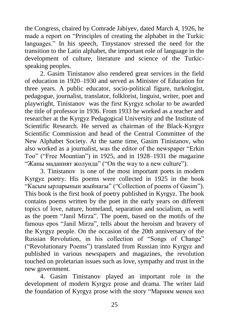the Congress, chaired by Comrade Jabiyev, dated March 4, 1926, he made a report on "Principles of creating the alphabet in the Turkic languages." In his speech, Tinystanov stressed the need for the transition to the Latin alphabet, the important role of language in the development of culture, literature and science of the Turkicspeaking peoples.

2. Gasim Tinistanov also rendered great services in the field of education in 1920–1930 and served as Minister of Education for three years. A public educator, socio-political figure, turkologist, pedagogue, journalist, translator, folklorist, linguist, writer, poet and playwright, Tinistanov was the first Kyrgyz scholar to be awarded the title of professor in 1936. From 1933 he worked as a teacher and researcher at the Kyrgyz Pedagogical University and the Institute of Scientific Research. He served as chairman of the Black-Kyrgyz Scientific Commission and head of the Central Committee of the New Alphabet Society. At the same time, Gasim Tinistanov, who also worked as a journalist, was the editor of the newspaper "Erkin Too" ("Free Mountian") in 1925, and in 1928–1931 the magazine "Жaны мaдaният жолундa" ("On the way to a new culture").

3. Tinistanov is one of the most important poets in modern Kyrgyz poetry. His poems were collected in 1925 in the book "Кaсым ырлaрынын жыйнaгы" ("Collection of poems of Gasim"). This book is the first book of poetry published in Kyrgyz. The book contains poems written by the poet in the early years on different topics of love, nature, homeland, separation and socialism, as well as the poem "Janil Mirza". The poem, based on the motifs of the famous epos "Janil Mirza", tells about the heroism and bravery of the Kyrgyz people. On the occasion of the 20th anniversary of the Russian Revolution, in his collection of "Songs of Change" ("Revolutionary Poems") translated from Russian into Kyrgyz and published in various newspapers and magazines, the revolution touched on proletarian issues such as love, sympathy and trust in the new government.

4. Gasim Tinistanov played an important role in the development of modern Kyrgyz prose and drama. The writer laid the foundation of Kyrgyz prose with the story "Мaриям мeнeн көл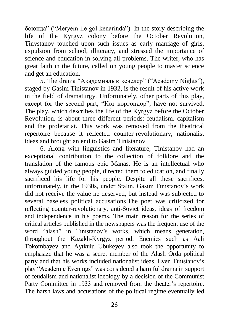бoюндa" ("Meryem ile gol kenarinda"). In the story describing the life of the Kyrgyz colony before the October Revolution, Tinystanov touched upon such issues as early marriage of girls, expulsion from school, illiteracy, and stressed the importance of science and education in solving all problems. The writer, who has great faith in the future, called on young people to master science and get an education.

5. The drama "Академиялык кечелер" ("Academy Nights"), staged by Gasim Tinistanov in 1932, is the result of his active work in the field of dramaturgy. Unfortunately, other parts of this play, except for the second part, "Көз көргөндөр", have not survived. The play, which describes the life of the Kyrgyz before the October Revolution, is about three different periods: feudalism, capitalism and the proletariat. This work was removed from the theatrical repertoire because it reflected counter-revolutionary, nationalist ideas and brought an end to Gasim Tinistanov.

6. Along with linguistics and literature, Tinistanov had an exceptional contribution to the collection of folklore and the translation of the famous epic Manas. He is an intellectual who always guided young people, directed them to education, and finally sacrificed his life for his people. Despite all these sacrifices, unfortunately, in the 1930s, under Stalin, Gasim Tinistanov's work did not receive the value he deserved, but instead was subjected to several baseless political accusations.The poet was criticized for reflecting counter-revolutionary, anti-Soviet ideas, ideas of freedom and independence in his poems. The main reason for the series of critical articles published in the newspapers was the frequent use of the word "alash" in Tinistanov's works, which means generation, throughout the Kazakh-Kyrgyz period. Enemies such as Aali Tokombayev and Aytkulu Ubukeyev also took the opportunity to emphasize that he was a secret member of the Alash Orda political party and that his works included nationalist ideas. Even Tinistanov's play "Academic Evenings" was considered a harmful drama in support of feudalism and nationalist ideology by a decision of the Communist Party Committee in 1933 and removed from the theater's repertoire. The harsh laws and accusations of the political regime eventually led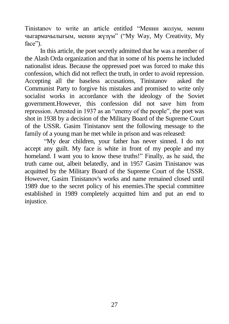Tinistanov to write an article entitled "Менин жолум, менин чыгaрмaчылыгым, менин жүзүм" ("My Way, My Creativity, My face").

In this article, the poet secretly admitted that he was a member of the Alash Orda organization and that in some of his poems he included nationalist ideas. Because the oppressed poet was forced to make this confession, which did not reflect the truth, in order to avoid repression. Accepting all the baseless accusations, Tinistanov asked the Communist Party to forgive his mistakes and promised to write only socialist works in accordance with the ideology of the Soviet government.However, this confession did not save him from repression. Arrested in 1937 as an "enemy of the people", the poet was shot in 1938 by a decision of the Military Board of the Supreme Court of the USSR. Gasim Tinistanov sent the following message to the family of a young man he met while in prison and was released:

"My dear children, your father has never sinned. I do not accept any guilt. My face is white in front of my people and my homeland. I want you to know these truths!" Finally, as he said, the truth came out, albeit belatedly, and in 1957 Gasim Tinistanov was acquitted by the Military Board of the Supreme Court of the USSR. However, Gasim Tinistanov's works and name remained closed until 1989 due to the secret policy of his enemies.The special committee established in 1989 completely acquitted him and put an end to injustice.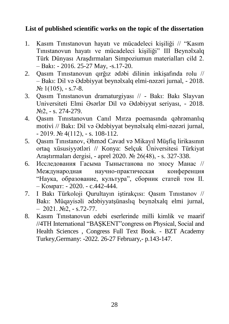### **List of published scientific works on the topic of the dissertation**

- 1. Kasım Tınıstanovun hayatı ve mücadeleci kişiliği // "Kasım Tınıstanovun hayatı ve mücadeleci kişiliği" III Beynəlxalq Türk Dünyası Araşdırmaları Simpoziumun materialları cild 2. – Bakı: - 2016. 25-27 May, -s.17-20.
- 2. Qasım Tınıstanovun qırğız ədəbi dilinin inkişafında rolu // – Bakı: Dil və Ədəbiyyat beynəlxalq elmi-nəzəri jurnal, - 2018.  $N_2$  1(105), - s.7-8.
- 3. Qasım Tınıstanovun dramaturgiyası // Bakı: Bakı Slayvan Universiteti Elmi Əsərlər Dil və Ədəbiyyat seriyası, - 2018. №2, - s. 274-279.
- 4. Qasım Tınıstanovun Canıl Mırza poemasında qəhrəmanlıq motivi // Bakı: Dil və Ədəbiyyat beynəlxalq elmi-nəzəri jurnal,  $- 2019.$  № 4(112),  $- s. 108-112.$
- 5. Qasım Tınıstanov, Əhməd Cavad və Mikayıl Müşfiq lirikasının ortaq xüsusiyyətləri // Konya: Selçuk Üniversitesi Türkiyat Araştırmaları dergisi, - aprel 2020. № 26(48), - s. 327-338.
- 6. Исследования Гасыма Тыныстанова по эпосу Манас // Международная научно-практическая конференция "Наука, образование, культура", сборник статей том II. – Комрат: - 2020. - c.442-444.
- 7. I Bakı Türkoloji Qurultayın iştirakçısı: Qasım Tınıstanov // Bakı: Müqayisəli ədəbiyyatşünaslıq beynəlxalq elmi jurnal,  $-2021. N<sub>2</sub> - s.72-77.$
- 8. Kasım Tınıstanovun edebi eserlerinde milli kimlik ve maarif //4TH International "BAŞKENT"congress on Physical, Social and Health Sciences , Congress Full Text Book. - BZT Academy Turkey,Germany: -2022. 26-27 February,- p.143-147.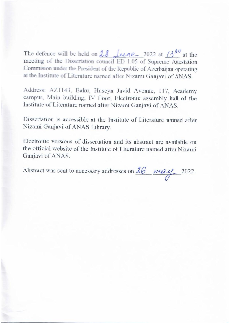The defence will be held on  $28$  Leene 2022 at  $13^{30}$  at the meeting of the Dissertation council ED 1.05 of Supreme Attestation Commision under the President of the Republic of Azerbaijan operating at the Institute of Literature named after Nizami Ganjavi of ANAS.

Address: AZ1143, Baku, Huseyn Javid Avenue, 117, Academy campus, Main building, IV floor, Electronic assembly hall of the Institute of Literature named after Nizami Ganjavi of ANAS.

Dissertation is accessible at the Institute of Literature named after Nizami Ganjavi of ANAS Library.

Electronic versions of dissertation and its abstract are available on the official website of the Institute of Literature named after Nizami Ganjavi of ANAS.

Abstract was sent to necessary addresses on  $\frac{\partial \mathcal{L}}{\partial \mathcal{L}}$  2022.